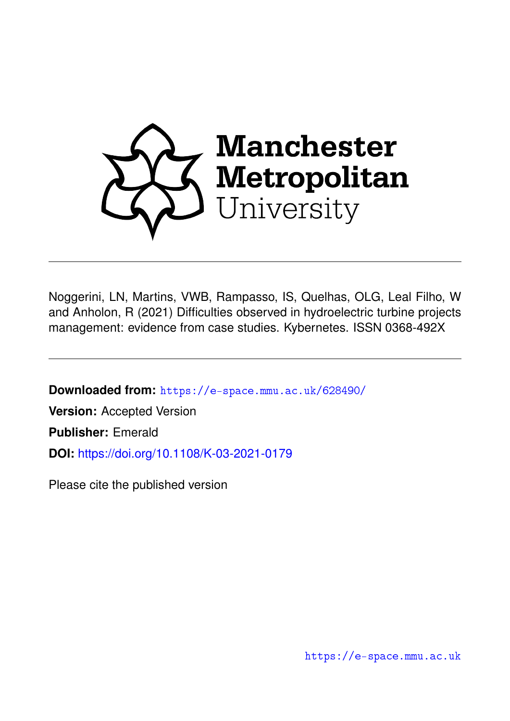

Noggerini, LN, Martins, VWB, Rampasso, IS, Quelhas, OLG, Leal Filho, W and Anholon, R (2021) Difficulties observed in hydroelectric turbine projects management: evidence from case studies. Kybernetes. ISSN 0368-492X

**Downloaded from:** <https://e-space.mmu.ac.uk/628490/>

**Version:** Accepted Version

**Publisher:** Emerald

**DOI:** <https://doi.org/10.1108/K-03-2021-0179>

Please cite the published version

<https://e-space.mmu.ac.uk>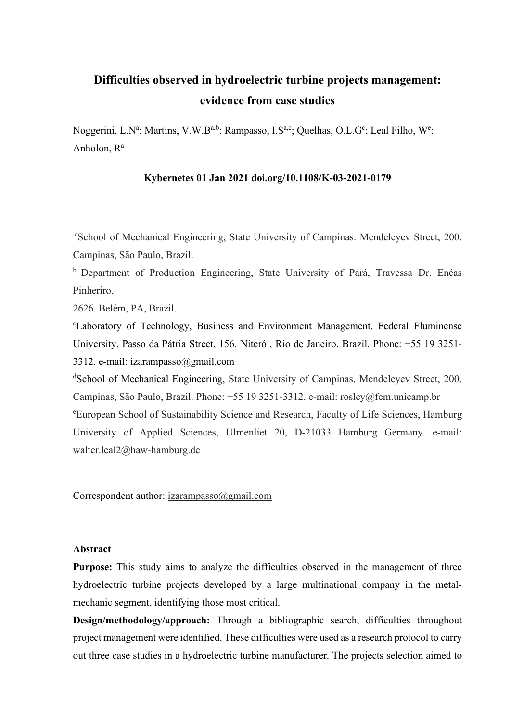# **Difficulties observed in hydroelectric turbine projects management: evidence from case studies**

Noggerini, L.N<sup>a</sup>; Martins, V.W.B<sup>a,b</sup>; Rampasso, I.S<sup>a,c</sup>; Quelhas, O.L.G<sup>c</sup>; Leal Filho, W<sup>e</sup>; Anholon,  $R^a$ 

## **Kybernetes 01 Jan 2021 doi.org/10.1108/K-03-2021-0179**

a School of Mechanical Engineering, State University of Campinas. Mendeleyev Street, 200. Campinas, São Paulo, Brazil.

<sup>b</sup> Department of Production Engineering, State University of Pará, Travessa Dr. Enéas Pinheriro,

2626. Belém, PA, Brazil.

c Laboratory of Technology, Business and Environment Management. Federal Fluminense University. Passo da Pátria Street, 156. Niterói, Rio de Janeiro, Brazil. Phone: +55 19 3251- 3312. e-mail: [izarampasso@gmail.com](mailto:izarampasso@gmail.com)

dSchool of Mechanical Engineering, State University of Campinas. Mendeleyev Street, 200. Campinas, São Paulo, Brazil. Phone: +55 19 3251-3312. e-mail: [rosley@fem.unicamp.br](mailto:rosley@fem.unicamp.br) e [European School of Sustainability Science and Research, Faculty of Life Sciences, Hamburg](https://www.haw-hamburg.de/en/ftz-nk/)  [University of Applied Sciences,](https://www.haw-hamburg.de/en/ftz-nk/) Ulmenliet 20, D-21033 Hamburg Germany. e-mail: [walter.leal2@haw-hamburg.de](mailto:walter.leal2@haw-hamburg.de)

Correspondent author: [izarampasso@gmail.com](mailto:izarampasso@gmail.com)

#### **Abstract**

**Purpose:** This study aims to analyze the difficulties observed in the management of three hydroelectric turbine projects developed by a large multinational company in the metalmechanic segment, identifying those most critical.

**Design/methodology/approach:** Through a bibliographic search, difficulties throughout project management were identified. These difficulties were used as a research protocol to carry out three case studies in a hydroelectric turbine manufacturer. The projects selection aimed to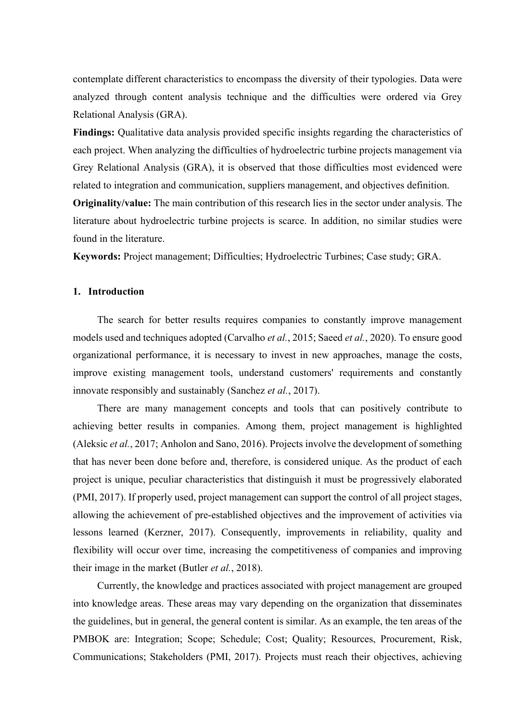contemplate different characteristics to encompass the diversity of their typologies. Data were analyzed through content analysis technique and the difficulties were ordered via Grey Relational Analysis (GRA).

**Findings:** Qualitative data analysis provided specific insights regarding the characteristics of each project. When analyzing the difficulties of hydroelectric turbine projects management via Grey Relational Analysis (GRA), it is observed that those difficulties most evidenced were related to integration and communication, suppliers management, and objectives definition.

**Originality/value:** The main contribution of this research lies in the sector under analysis. The literature about hydroelectric turbine projects is scarce. In addition, no similar studies were found in the literature.

**Keywords:** Project management; Difficulties; Hydroelectric Turbines; Case study; GRA.

## **1. Introduction**

The search for better results requires companies to constantly improve management models used and techniques adopted (Carvalho *et al.*, 2015; Saeed *et al.*, 2020). To ensure good organizational performance, it is necessary to invest in new approaches, manage the costs, improve existing management tools, understand customers' requirements and constantly innovate responsibly and sustainably (Sanchez *et al.*, 2017).

There are many management concepts and tools that can positively contribute to achieving better results in companies. Among them, project management is highlighted (Aleksic *et al.*, 2017; Anholon and Sano, 2016). Projects involve the development of something that has never been done before and, therefore, is considered unique. As the product of each project is unique, peculiar characteristics that distinguish it must be progressively elaborated (PMI, 2017). If properly used, project management can support the control of all project stages, allowing the achievement of pre-established objectives and the improvement of activities via lessons learned (Kerzner, 2017). Consequently, improvements in reliability, quality and flexibility will occur over time, increasing the competitiveness of companies and improving their image in the market (Butler *et al.*, 2018).

Currently, the knowledge and practices associated with project management are grouped into knowledge areas. These areas may vary depending on the organization that disseminates the guidelines, but in general, the general content is similar. As an example, the ten areas of the PMBOK are: Integration; Scope; Schedule; Cost; Quality; Resources, Procurement, Risk, Communications; Stakeholders (PMI, 2017). Projects must reach their objectives, achieving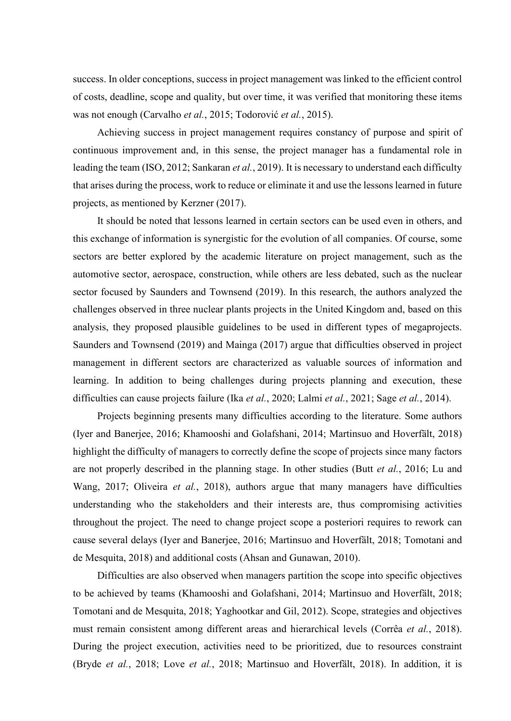success. In older conceptions, success in project management was linked to the efficient control of costs, deadline, scope and quality, but over time, it was verified that monitoring these items was not enough (Carvalho *et al.*, 2015; Todorović *et al.*, 2015).

Achieving success in project management requires constancy of purpose and spirit of continuous improvement and, in this sense, the project manager has a fundamental role in leading the team (ISO, 2012; Sankaran *et al.*, 2019). It is necessary to understand each difficulty that arises during the process, work to reduce or eliminate it and use the lessons learned in future projects, as mentioned by Kerzner (2017).

It should be noted that lessons learned in certain sectors can be used even in others, and this exchange of information is synergistic for the evolution of all companies. Of course, some sectors are better explored by the academic literature on project management, such as the automotive sector, aerospace, construction, while others are less debated, such as the nuclear sector focused by Saunders and Townsend (2019). In this research, the authors analyzed the challenges observed in three nuclear plants projects in the United Kingdom and, based on this analysis, they proposed plausible guidelines to be used in different types of megaprojects. Saunders and Townsend (2019) and Mainga (2017) argue that difficulties observed in project management in different sectors are characterized as valuable sources of information and learning. In addition to being challenges during projects planning and execution, these difficulties can cause projects failure (Ika *et al.*, 2020; Lalmi *et al.*, 2021; Sage *et al.*, 2014).

Projects beginning presents many difficulties according to the literature. Some authors (Iyer and Banerjee, 2016; Khamooshi and Golafshani, 2014; Martinsuo and Hoverfält, 2018) highlight the difficulty of managers to correctly define the scope of projects since many factors are not properly described in the planning stage. In other studies (Butt *et al.*, 2016; Lu and Wang, 2017; Oliveira *et al.*, 2018), authors argue that many managers have difficulties understanding who the stakeholders and their interests are, thus compromising activities throughout the project. The need to change project scope a posteriori requires to rework can cause several delays (Iyer and Banerjee, 2016; Martinsuo and Hoverfält, 2018; Tomotani and de Mesquita, 2018) and additional costs (Ahsan and Gunawan, 2010).

Difficulties are also observed when managers partition the scope into specific objectives to be achieved by teams (Khamooshi and Golafshani, 2014; Martinsuo and Hoverfält, 2018; Tomotani and de Mesquita, 2018; Yaghootkar and Gil, 2012). Scope, strategies and objectives must remain consistent among different areas and hierarchical levels (Corrêa *et al.*, 2018). During the project execution, activities need to be prioritized, due to resources constraint (Bryde *et al.*, 2018; Love *et al.*, 2018; Martinsuo and Hoverfält, 2018). In addition, it is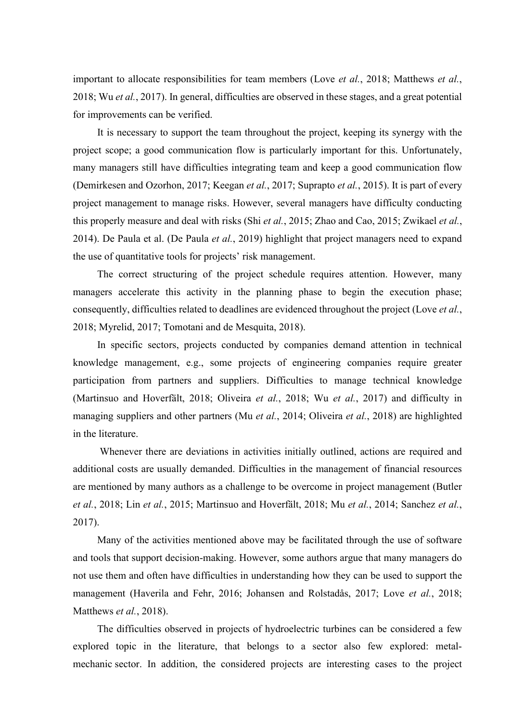important to allocate responsibilities for team members (Love *et al.*, 2018; Matthews *et al.*, 2018; Wu *et al.*, 2017). In general, difficulties are observed in these stages, and a great potential for improvements can be verified.

It is necessary to support the team throughout the project, keeping its synergy with the project scope; a good communication flow is particularly important for this. Unfortunately, many managers still have difficulties integrating team and keep a good communication flow (Demirkesen and Ozorhon, 2017; Keegan *et al.*, 2017; Suprapto *et al.*, 2015). It is part of every project management to manage risks. However, several managers have difficulty conducting this properly measure and deal with risks (Shi *et al.*, 2015; Zhao and Cao, 2015; Zwikael *et al.*, 2014). De Paula et al. (De Paula *et al.*, 2019) highlight that project managers need to expand the use of quantitative tools for projects' risk management.

The correct structuring of the project schedule requires attention. However, many managers accelerate this activity in the planning phase to begin the execution phase; consequently, difficulties related to deadlines are evidenced throughout the project (Love *et al.*, 2018; Myrelid, 2017; Tomotani and de Mesquita, 2018).

In specific sectors, projects conducted by companies demand attention in technical knowledge management, e.g., some projects of engineering companies require greater participation from partners and suppliers. Difficulties to manage technical knowledge (Martinsuo and Hoverfält, 2018; Oliveira *et al.*, 2018; Wu *et al.*, 2017) and difficulty in managing suppliers and other partners (Mu *et al.*, 2014; Oliveira *et al.*, 2018) are highlighted in the literature.

Whenever there are deviations in activities initially outlined, actions are required and additional costs are usually demanded. Difficulties in the management of financial resources are mentioned by many authors as a challenge to be overcome in project management (Butler *et al.*, 2018; Lin *et al.*, 2015; Martinsuo and Hoverfält, 2018; Mu *et al.*, 2014; Sanchez *et al.*, 2017).

Many of the activities mentioned above may be facilitated through the use of software and tools that support decision-making. However, some authors argue that many managers do not use them and often have difficulties in understanding how they can be used to support the management (Haverila and Fehr, 2016; Johansen and Rolstadås, 2017; Love *et al.*, 2018; Matthews *et al.*, 2018).

The difficulties observed in projects of hydroelectric turbines can be considered a few explored topic in the literature, that belongs to a sector also few explored: metalmechanic sector. In addition, the considered projects are interesting cases to the project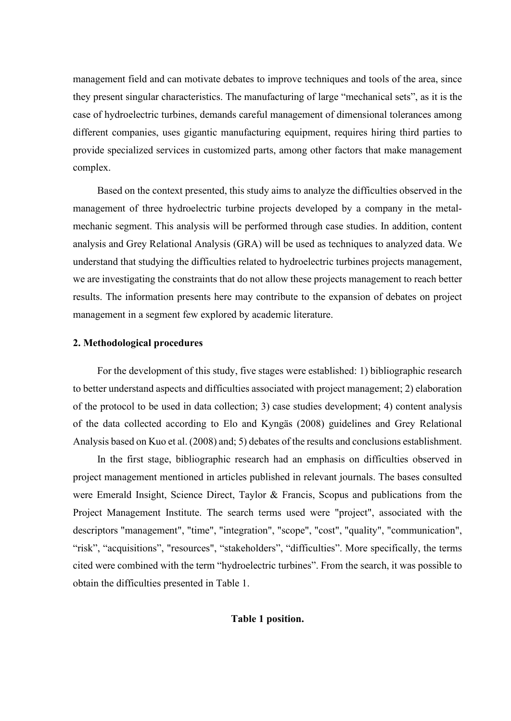management field and can motivate debates to improve techniques and tools of the area, since they present singular characteristics. The manufacturing of large "mechanical sets", as it is the case of hydroelectric turbines, demands careful management of dimensional tolerances among different companies, uses gigantic manufacturing equipment, requires hiring third parties to provide specialized services in customized parts, among other factors that make management complex.

Based on the context presented, this study aims to analyze the difficulties observed in the management of three hydroelectric turbine projects developed by a company in the metalmechanic segment. This analysis will be performed through case studies. In addition, content analysis and Grey Relational Analysis (GRA) will be used as techniques to analyzed data. We understand that studying the difficulties related to hydroelectric turbines projects management, we are investigating the constraints that do not allow these projects management to reach better results. The information presents here may contribute to the expansion of debates on project management in a segment few explored by academic literature.

## **2. Methodological procedures**

For the development of this study, five stages were established: 1) bibliographic research to better understand aspects and difficulties associated with project management; 2) elaboration of the protocol to be used in data collection; 3) case studies development; 4) content analysis of the data collected according to Elo and Kyngäs (2008) guidelines and Grey Relational Analysis based on Kuo et al. (2008) and; 5) debates of the results and conclusions establishment.

In the first stage, bibliographic research had an emphasis on difficulties observed in project management mentioned in articles published in relevant journals. The bases consulted were Emerald Insight, Science Direct, Taylor & Francis, Scopus and publications from the Project Management Institute. The search terms used were "project", associated with the descriptors "management", "time", "integration", "scope", "cost", "quality", "communication", "risk", "acquisitions", "resources", "stakeholders", "difficulties". More specifically, the terms cited were combined with the term "hydroelectric turbines". From the search, it was possible to obtain the difficulties presented in Table 1.

## **Table 1 position.**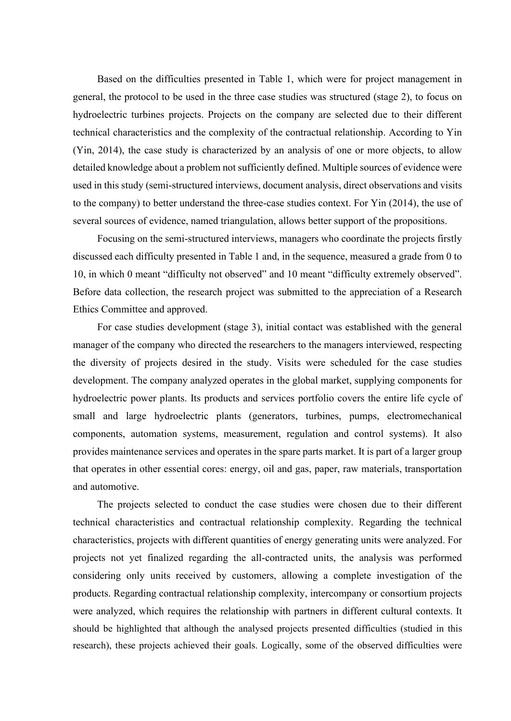Based on the difficulties presented in Table 1, which were for project management in general, the protocol to be used in the three case studies was structured (stage 2), to focus on hydroelectric turbines projects. Projects on the company are selected due to their different technical characteristics and the complexity of the contractual relationship. According to Yin (Yin, 2014), the case study is characterized by an analysis of one or more objects, to allow detailed knowledge about a problem not sufficiently defined. Multiple sources of evidence were used in this study (semi-structured interviews, document analysis, direct observations and visits to the company) to better understand the three-case studies context. For Yin (2014), the use of several sources of evidence, named triangulation, allows better support of the propositions.

Focusing on the semi-structured interviews, managers who coordinate the projects firstly discussed each difficulty presented in Table 1 and, in the sequence, measured a grade from 0 to 10, in which 0 meant "difficulty not observed" and 10 meant "difficulty extremely observed". Before data collection, the research project was submitted to the appreciation of a Research Ethics Committee and approved.

For case studies development (stage 3), initial contact was established with the general manager of the company who directed the researchers to the managers interviewed, respecting the diversity of projects desired in the study. Visits were scheduled for the case studies development. The company analyzed operates in the global market, supplying components for hydroelectric power plants. Its products and services portfolio covers the entire life cycle of small and large hydroelectric plants (generators, turbines, pumps, electromechanical components, automation systems, measurement, regulation and control systems). It also provides maintenance services and operates in the spare parts market. It is part of a larger group that operates in other essential cores: energy, oil and gas, paper, raw materials, transportation and automotive.

The projects selected to conduct the case studies were chosen due to their different technical characteristics and contractual relationship complexity. Regarding the technical characteristics, projects with different quantities of energy generating units were analyzed. For projects not yet finalized regarding the all-contracted units, the analysis was performed considering only units received by customers, allowing a complete investigation of the products. Regarding contractual relationship complexity, intercompany or consortium projects were analyzed, which requires the relationship with partners in different cultural contexts. It should be highlighted that although the analysed projects presented difficulties (studied in this research), these projects achieved their goals. Logically, some of the observed difficulties were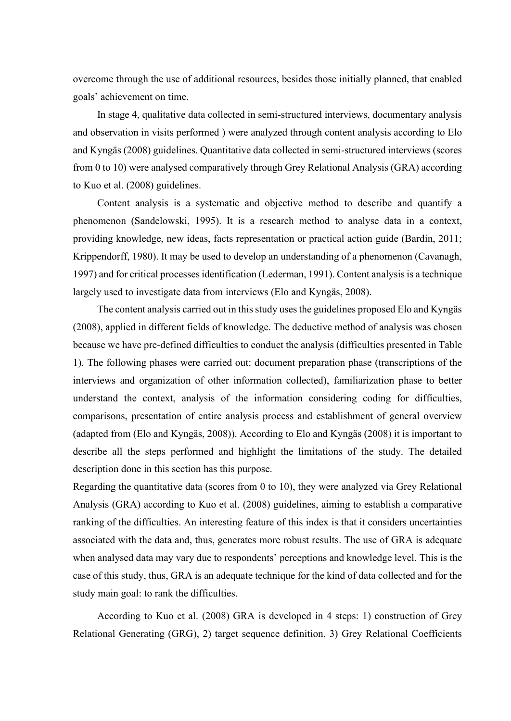overcome through the use of additional resources, besides those initially planned, that enabled goals' achievement on time.

In stage 4, qualitative data collected in semi-structured interviews, documentary analysis and observation in visits performed ) were analyzed through content analysis according to Elo and Kyngäs (2008) guidelines. Quantitative data collected in semi-structured interviews (scores from 0 to 10) were analysed comparatively through Grey Relational Analysis (GRA) according to Kuo et al. (2008) guidelines.

Content analysis is a systematic and objective method to describe and quantify a phenomenon (Sandelowski, 1995). It is a research method to analyse data in a context, providing knowledge, new ideas, facts representation or practical action guide (Bardin, 2011; Krippendorff, 1980). It may be used to develop an understanding of a phenomenon (Cavanagh, 1997) and for critical processesidentification (Lederman, 1991). Content analysis is a technique largely used to investigate data from interviews (Elo and Kyngäs, 2008).

The content analysis carried out in this study uses the guidelines proposed Elo and Kyngäs (2008), applied in different fields of knowledge. The deductive method of analysis was chosen because we have pre-defined difficulties to conduct the analysis (difficulties presented in Table 1). The following phases were carried out: document preparation phase (transcriptions of the interviews and organization of other information collected), familiarization phase to better understand the context, analysis of the information considering coding for difficulties, comparisons, presentation of entire analysis process and establishment of general overview (adapted from (Elo and Kyngäs, 2008)). According to Elo and Kyngäs (2008) it is important to describe all the steps performed and highlight the limitations of the study. The detailed description done in this section has this purpose.

Regarding the quantitative data (scores from 0 to 10), they were analyzed via Grey Relational Analysis (GRA) according to Kuo et al. (2008) guidelines, aiming to establish a comparative ranking of the difficulties. An interesting feature of this index is that it considers uncertainties associated with the data and, thus, generates more robust results. The use of GRA is adequate when analysed data may vary due to respondents' perceptions and knowledge level. This is the case of this study, thus, GRA is an adequate technique for the kind of data collected and for the study main goal: to rank the difficulties.

According to Kuo et al. (2008) GRA is developed in 4 steps: 1) construction of Grey Relational Generating (GRG), 2) target sequence definition, 3) Grey Relational Coefficients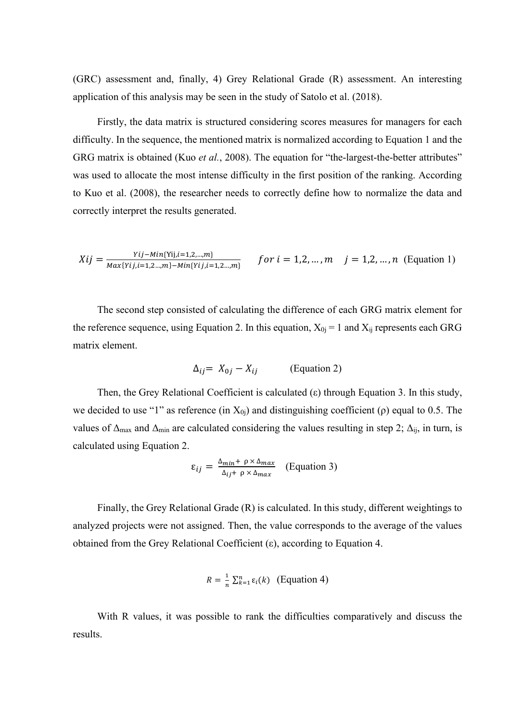(GRC) assessment and, finally, 4) Grey Relational Grade (R) assessment. An interesting application of this analysis may be seen in the study of Satolo et al. (2018).

Firstly, the data matrix is structured considering scores measures for managers for each difficulty. In the sequence, the mentioned matrix is normalized according to Equation 1 and the GRG matrix is obtained (Kuo *et al.*, 2008). The equation for "the-largest-the-better attributes" was used to allocate the most intense difficulty in the first position of the ranking. According to Kuo et al. (2008), the researcher needs to correctly define how to normalize the data and correctly interpret the results generated.

$$
Xij = \frac{Yij - Min{Yij}, i=1,2,...,m}{Max{Yij}, i=1,2,...,m} \quad for \ i=1,2,...,m \quad j=1,2,...,n \ (Equation 1)
$$

The second step consisted of calculating the difference of each GRG matrix element for the reference sequence, using Equation 2. In this equation,  $X_{0j} = 1$  and  $X_{ij}$  represents each GRG matrix element.

$$
\Delta_{ij} = X_{0j} - X_{ij} \qquad \text{(Equation 2)}
$$

Then, the Grey Relational Coefficient is calculated (ε) through Equation 3. In this study, we decided to use "1" as reference (in  $X_{0i}$ ) and distinguishing coefficient ( $\rho$ ) equal to 0.5. The values of  $\Delta_{\text{max}}$  and  $\Delta_{\text{min}}$  are calculated considering the values resulting in step 2;  $\Delta_{\text{ij}}$ , in turn, is calculated using Equation 2.

$$
\varepsilon_{ij} = \frac{\Delta_{min} + \rho \times \Delta_{max}}{\Delta_{ij} + \rho \times \Delta_{max}} \quad \text{(Equation 3)}
$$

Finally, the Grey Relational Grade (R) is calculated. In this study, different weightings to analyzed projects were not assigned. Then, the value corresponds to the average of the values obtained from the Grey Relational Coefficient  $(\varepsilon)$ , according to Equation 4.

$$
R = \frac{1}{n} \sum_{k=1}^{n} \varepsilon_i(k) \quad \text{(Equation 4)}
$$

With R values, it was possible to rank the difficulties comparatively and discuss the results.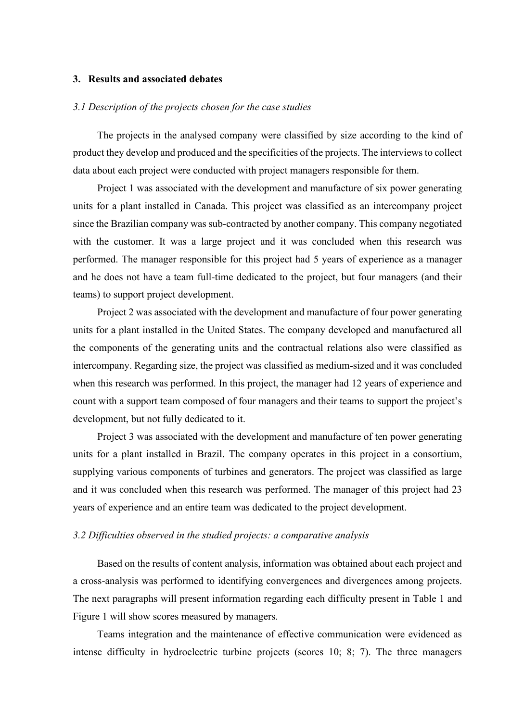## **3. Results and associated debates**

## *3.1 Description of the projects chosen for the case studies*

The projects in the analysed company were classified by size according to the kind of product they develop and produced and the specificities of the projects. The interviews to collect data about each project were conducted with project managers responsible for them.

Project 1 was associated with the development and manufacture of six power generating units for a plant installed in Canada. This project was classified as an intercompany project since the Brazilian company was sub-contracted by another company. This company negotiated with the customer. It was a large project and it was concluded when this research was performed. The manager responsible for this project had 5 years of experience as a manager and he does not have a team full-time dedicated to the project, but four managers (and their teams) to support project development.

Project 2 was associated with the development and manufacture of four power generating units for a plant installed in the United States. The company developed and manufactured all the components of the generating units and the contractual relations also were classified as intercompany. Regarding size, the project was classified as medium-sized and it was concluded when this research was performed. In this project, the manager had 12 years of experience and count with a support team composed of four managers and their teams to support the project's development, but not fully dedicated to it.

Project 3 was associated with the development and manufacture of ten power generating units for a plant installed in Brazil. The company operates in this project in a consortium, supplying various components of turbines and generators. The project was classified as large and it was concluded when this research was performed. The manager of this project had 23 years of experience and an entire team was dedicated to the project development.

#### *3.2 Difficulties observed in the studied projects: a comparative analysis*

Based on the results of content analysis, information was obtained about each project and a cross-analysis was performed to identifying convergences and divergences among projects. The next paragraphs will present information regarding each difficulty present in Table 1 and Figure 1 will show scores measured by managers.

Teams integration and the maintenance of effective communication were evidenced as intense difficulty in hydroelectric turbine projects (scores 10; 8; 7). The three managers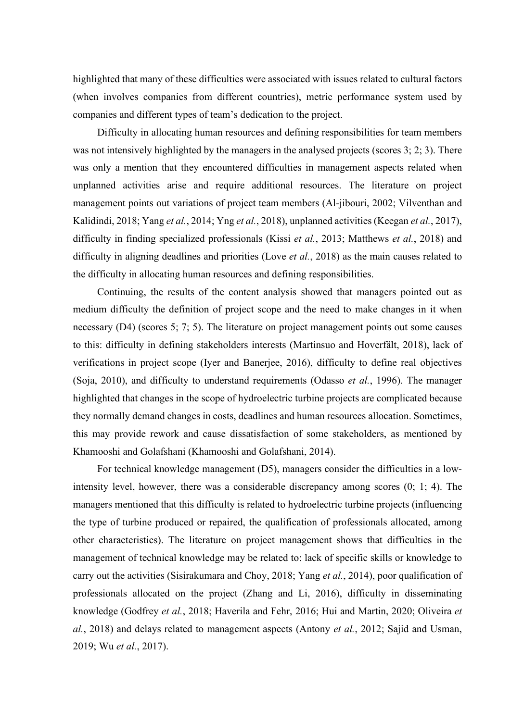highlighted that many of these difficulties were associated with issues related to cultural factors (when involves companies from different countries), metric performance system used by companies and different types of team's dedication to the project.

Difficulty in allocating human resources and defining responsibilities for team members was not intensively highlighted by the managers in the analysed projects (scores 3; 2; 3). There was only a mention that they encountered difficulties in management aspects related when unplanned activities arise and require additional resources. The literature on project management points out variations of project team members (Al-jibouri, 2002; Vilventhan and Kalidindi, 2018; Yang *et al.*, 2014; Yng *et al.*, 2018), unplanned activities (Keegan *et al.*, 2017), difficulty in finding specialized professionals (Kissi *et al.*, 2013; Matthews *et al.*, 2018) and difficulty in aligning deadlines and priorities (Love *et al.*, 2018) as the main causes related to the difficulty in allocating human resources and defining responsibilities.

Continuing, the results of the content analysis showed that managers pointed out as medium difficulty the definition of project scope and the need to make changes in it when necessary (D4) (scores 5; 7; 5). The literature on project management points out some causes to this: difficulty in defining stakeholders interests (Martinsuo and Hoverfält, 2018), lack of verifications in project scope (Iyer and Banerjee, 2016), difficulty to define real objectives (Soja, 2010), and difficulty to understand requirements (Odasso *et al.*, 1996). The manager highlighted that changes in the scope of hydroelectric turbine projects are complicated because they normally demand changes in costs, deadlines and human resources allocation. Sometimes, this may provide rework and cause dissatisfaction of some stakeholders, as mentioned by Khamooshi and Golafshani (Khamooshi and Golafshani, 2014).

For technical knowledge management (D5), managers consider the difficulties in a lowintensity level, however, there was a considerable discrepancy among scores (0; 1; 4). The managers mentioned that this difficulty is related to hydroelectric turbine projects (influencing the type of turbine produced or repaired, the qualification of professionals allocated, among other characteristics). The literature on project management shows that difficulties in the management of technical knowledge may be related to: lack of specific skills or knowledge to carry out the activities (Sisirakumara and Choy, 2018; Yang *et al.*, 2014), poor qualification of professionals allocated on the project (Zhang and Li, 2016), difficulty in disseminating knowledge (Godfrey *et al.*, 2018; Haverila and Fehr, 2016; Hui and Martin, 2020; Oliveira *et al.*, 2018) and delays related to management aspects (Antony *et al.*, 2012; Sajid and Usman, 2019; Wu *et al.*, 2017).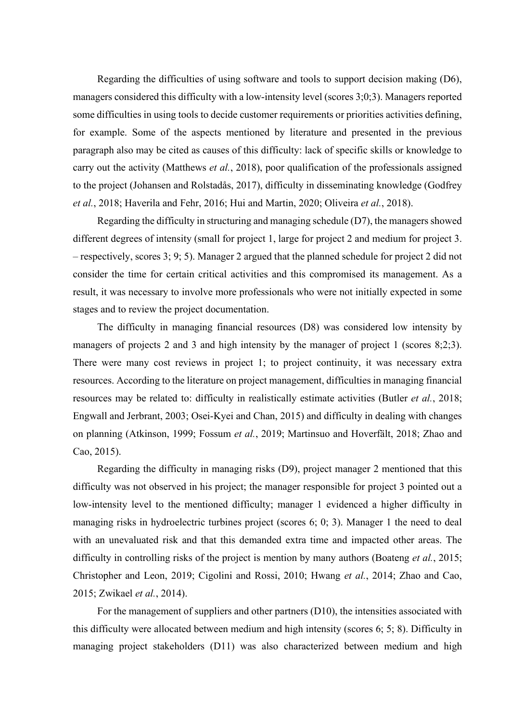Regarding the difficulties of using software and tools to support decision making (D6), managers considered this difficulty with a low-intensity level (scores 3;0;3). Managers reported some difficulties in using tools to decide customer requirements or priorities activities defining, for example. Some of the aspects mentioned by literature and presented in the previous paragraph also may be cited as causes of this difficulty: lack of specific skills or knowledge to carry out the activity (Matthews *et al.*, 2018), poor qualification of the professionals assigned to the project (Johansen and Rolstadås, 2017), difficulty in disseminating knowledge (Godfrey *et al.*, 2018; Haverila and Fehr, 2016; Hui and Martin, 2020; Oliveira *et al.*, 2018).

Regarding the difficulty in structuring and managing schedule (D7), the managers showed different degrees of intensity (small for project 1, large for project 2 and medium for project 3. – respectively, scores 3; 9; 5). Manager 2 argued that the planned schedule for project 2 did not consider the time for certain critical activities and this compromised its management. As a result, it was necessary to involve more professionals who were not initially expected in some stages and to review the project documentation.

The difficulty in managing financial resources (D8) was considered low intensity by managers of projects 2 and 3 and high intensity by the manager of project 1 (scores 8;2;3). There were many cost reviews in project 1; to project continuity, it was necessary extra resources. According to the literature on project management, difficulties in managing financial resources may be related to: difficulty in realistically estimate activities (Butler *et al.*, 2018; Engwall and Jerbrant, 2003; Osei-Kyei and Chan, 2015) and difficulty in dealing with changes on planning (Atkinson, 1999; Fossum *et al.*, 2019; Martinsuo and Hoverfält, 2018; Zhao and Cao, 2015).

Regarding the difficulty in managing risks (D9), project manager 2 mentioned that this difficulty was not observed in his project; the manager responsible for project 3 pointed out a low-intensity level to the mentioned difficulty; manager 1 evidenced a higher difficulty in managing risks in hydroelectric turbines project (scores 6; 0; 3). Manager 1 the need to deal with an unevaluated risk and that this demanded extra time and impacted other areas. The difficulty in controlling risks of the project is mention by many authors (Boateng *et al.*, 2015; Christopher and Leon, 2019; Cigolini and Rossi, 2010; Hwang *et al.*, 2014; Zhao and Cao, 2015; Zwikael *et al.*, 2014).

For the management of suppliers and other partners (D10), the intensities associated with this difficulty were allocated between medium and high intensity (scores 6; 5; 8). Difficulty in managing project stakeholders (D11) was also characterized between medium and high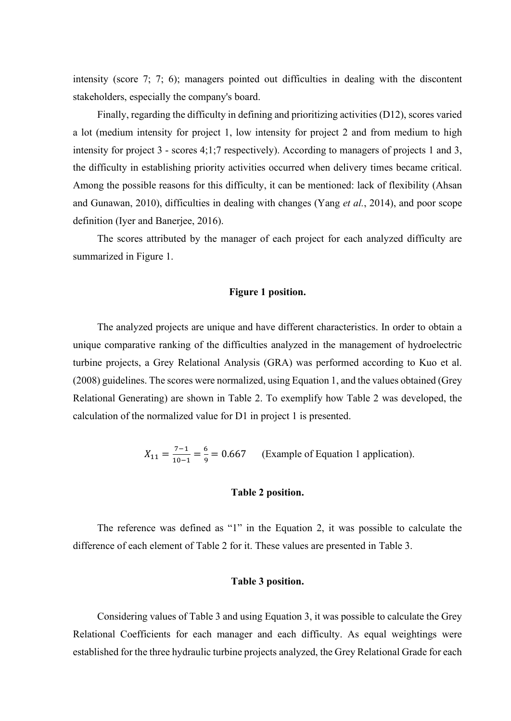intensity (score 7; 7; 6); managers pointed out difficulties in dealing with the discontent stakeholders, especially the company's board.

Finally, regarding the difficulty in defining and prioritizing activities (D12), scores varied a lot (medium intensity for project 1, low intensity for project 2 and from medium to high intensity for project 3 - scores 4;1;7 respectively). According to managers of projects 1 and 3, the difficulty in establishing priority activities occurred when delivery times became critical. Among the possible reasons for this difficulty, it can be mentioned: lack of flexibility (Ahsan and Gunawan, 2010), difficulties in dealing with changes (Yang *et al.*, 2014), and poor scope definition (Iyer and Banerjee, 2016).

The scores attributed by the manager of each project for each analyzed difficulty are summarized in Figure 1.

### **Figure 1 position.**

The analyzed projects are unique and have different characteristics. In order to obtain a unique comparative ranking of the difficulties analyzed in the management of hydroelectric turbine projects, a Grey Relational Analysis (GRA) was performed according to Kuo et al. (2008) guidelines. The scores were normalized, using Equation 1, and the values obtained (Grey Relational Generating) are shown in Table 2. To exemplify how Table 2 was developed, the calculation of the normalized value for D1 in project 1 is presented.

 $X_{11} = \frac{7-1}{10-1} = \frac{6}{9} = 0.667$  (Example of Equation 1 application).

## **Table 2 position.**

The reference was defined as "1" in the Equation 2, it was possible to calculate the difference of each element of Table 2 for it. These values are presented in Table 3.

#### **Table 3 position.**

Considering values of Table 3 and using Equation 3, it was possible to calculate the Grey Relational Coefficients for each manager and each difficulty. As equal weightings were established for the three hydraulic turbine projects analyzed, the Grey Relational Grade for each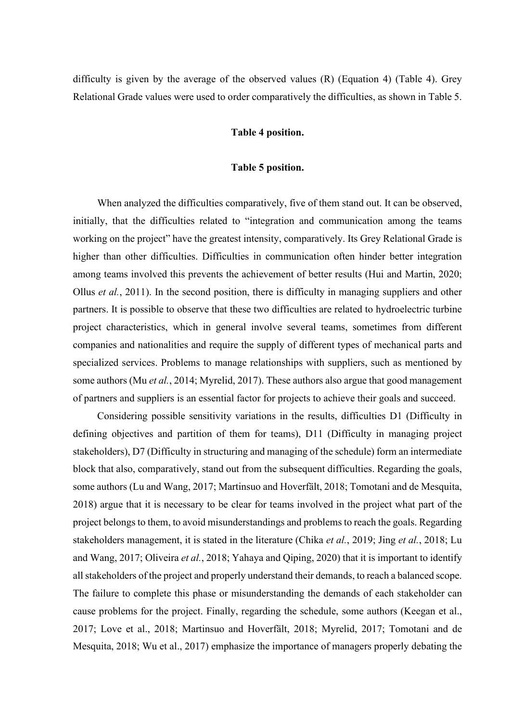difficulty is given by the average of the observed values (R) (Equation 4) (Table 4). Grey Relational Grade values were used to order comparatively the difficulties, as shown in Table 5.

#### **Table 4 position.**

## **Table 5 position.**

When analyzed the difficulties comparatively, five of them stand out. It can be observed, initially, that the difficulties related to "integration and communication among the teams working on the project" have the greatest intensity, comparatively. Its Grey Relational Grade is higher than other difficulties. Difficulties in communication often hinder better integration among teams involved this prevents the achievement of better results (Hui and Martin, 2020; Ollus *et al.*, 2011). In the second position, there is difficulty in managing suppliers and other partners. It is possible to observe that these two difficulties are related to hydroelectric turbine project characteristics, which in general involve several teams, sometimes from different companies and nationalities and require the supply of different types of mechanical parts and specialized services. Problems to manage relationships with suppliers, such as mentioned by some authors (Mu *et al.*, 2014; Myrelid, 2017). These authors also argue that good management of partners and suppliers is an essential factor for projects to achieve their goals and succeed.

Considering possible sensitivity variations in the results, difficulties D1 (Difficulty in defining objectives and partition of them for teams), D11 (Difficulty in managing project stakeholders), D7 (Difficulty in structuring and managing of the schedule) form an intermediate block that also, comparatively, stand out from the subsequent difficulties. Regarding the goals, some authors (Lu and Wang, 2017; Martinsuo and Hoverfält, 2018; Tomotani and de Mesquita, 2018) argue that it is necessary to be clear for teams involved in the project what part of the project belongs to them, to avoid misunderstandings and problems to reach the goals. Regarding stakeholders management, it is stated in the literature (Chika *et al.*, 2019; Jing *et al.*, 2018; Lu and Wang, 2017; Oliveira *et al.*, 2018; Yahaya and Qiping, 2020) that it is important to identify all stakeholders of the project and properly understand their demands, to reach a balanced scope. The failure to complete this phase or misunderstanding the demands of each stakeholder can cause problems for the project. Finally, regarding the schedule, some authors (Keegan et al., 2017; Love et al., 2018; Martinsuo and Hoverfält, 2018; Myrelid, 2017; Tomotani and de Mesquita, 2018; Wu et al., 2017) emphasize the importance of managers properly debating the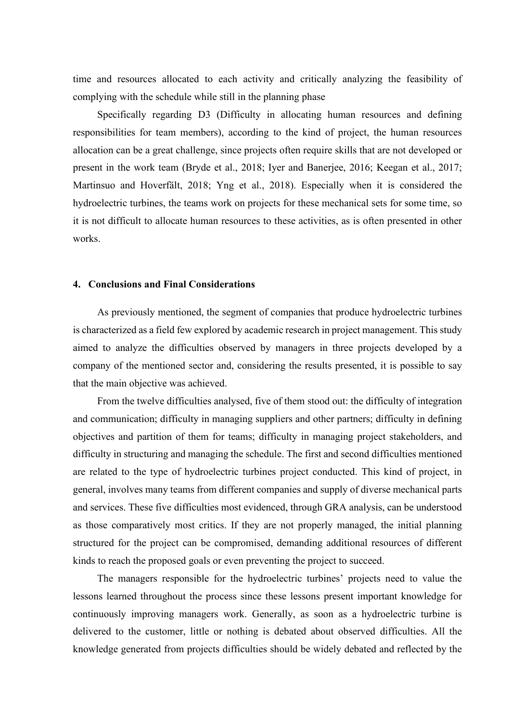time and resources allocated to each activity and critically analyzing the feasibility of complying with the schedule while still in the planning phase

Specifically regarding D3 (Difficulty in allocating human resources and defining responsibilities for team members), according to the kind of project, the human resources allocation can be a great challenge, since projects often require skills that are not developed or present in the work team (Bryde et al., 2018; Iyer and Banerjee, 2016; Keegan et al., 2017; Martinsuo and Hoverfält, 2018; Yng et al., 2018). Especially when it is considered the hydroelectric turbines, the teams work on projects for these mechanical sets for some time, so it is not difficult to allocate human resources to these activities, as is often presented in other works.

#### **4. Conclusions and Final Considerations**

As previously mentioned, the segment of companies that produce hydroelectric turbines is characterized as a field few explored by academic research in project management. This study aimed to analyze the difficulties observed by managers in three projects developed by a company of the mentioned sector and, considering the results presented, it is possible to say that the main objective was achieved.

From the twelve difficulties analysed, five of them stood out: the difficulty of integration and communication; difficulty in managing suppliers and other partners; difficulty in defining objectives and partition of them for teams; difficulty in managing project stakeholders, and difficulty in structuring and managing the schedule. The first and second difficulties mentioned are related to the type of hydroelectric turbines project conducted. This kind of project, in general, involves many teams from different companies and supply of diverse mechanical parts and services. These five difficulties most evidenced, through GRA analysis, can be understood as those comparatively most critics. If they are not properly managed, the initial planning structured for the project can be compromised, demanding additional resources of different kinds to reach the proposed goals or even preventing the project to succeed.

The managers responsible for the hydroelectric turbines' projects need to value the lessons learned throughout the process since these lessons present important knowledge for continuously improving managers work. Generally, as soon as a hydroelectric turbine is delivered to the customer, little or nothing is debated about observed difficulties. All the knowledge generated from projects difficulties should be widely debated and reflected by the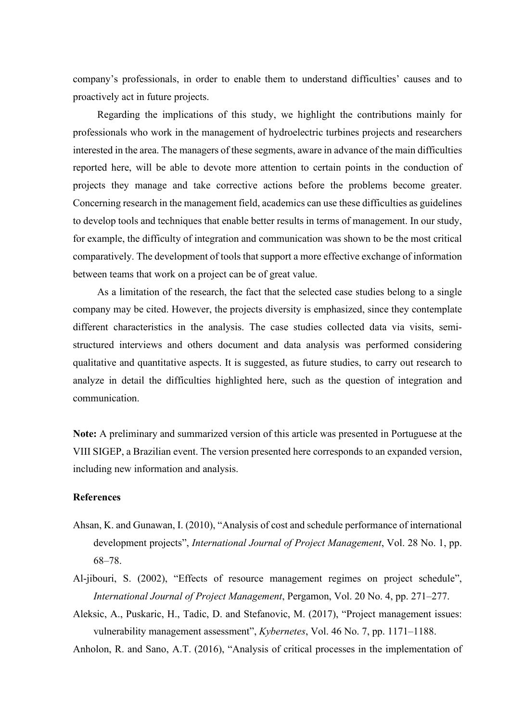company's professionals, in order to enable them to understand difficulties' causes and to proactively act in future projects.

Regarding the implications of this study, we highlight the contributions mainly for professionals who work in the management of hydroelectric turbines projects and researchers interested in the area. The managers of these segments, aware in advance of the main difficulties reported here, will be able to devote more attention to certain points in the conduction of projects they manage and take corrective actions before the problems become greater. Concerning research in the management field, academics can use these difficulties as guidelines to develop tools and techniques that enable better results in terms of management. In our study, for example, the difficulty of integration and communication was shown to be the most critical comparatively. The development of tools that support a more effective exchange of information between teams that work on a project can be of great value.

As a limitation of the research, the fact that the selected case studies belong to a single company may be cited. However, the projects diversity is emphasized, since they contemplate different characteristics in the analysis. The case studies collected data via visits, semistructured interviews and others document and data analysis was performed considering qualitative and quantitative aspects. It is suggested, as future studies, to carry out research to analyze in detail the difficulties highlighted here, such as the question of integration and communication.

**Note:** A preliminary and summarized version of this article was presented in Portuguese at the VIII SIGEP, a Brazilian event. The version presented here corresponds to an expanded version, including new information and analysis.

#### **References**

- Ahsan, K. and Gunawan, I. (2010), "Analysis of cost and schedule performance of international development projects", *International Journal of Project Management*, Vol. 28 No. 1, pp. 68–78.
- Al-jibouri, S. (2002), "Effects of resource management regimes on project schedule", *International Journal of Project Management*, Pergamon, Vol. 20 No. 4, pp. 271–277.
- Aleksic, A., Puskaric, H., Tadic, D. and Stefanovic, M. (2017), "Project management issues: vulnerability management assessment", *Kybernetes*, Vol. 46 No. 7, pp. 1171–1188.

Anholon, R. and Sano, A.T. (2016), "Analysis of critical processes in the implementation of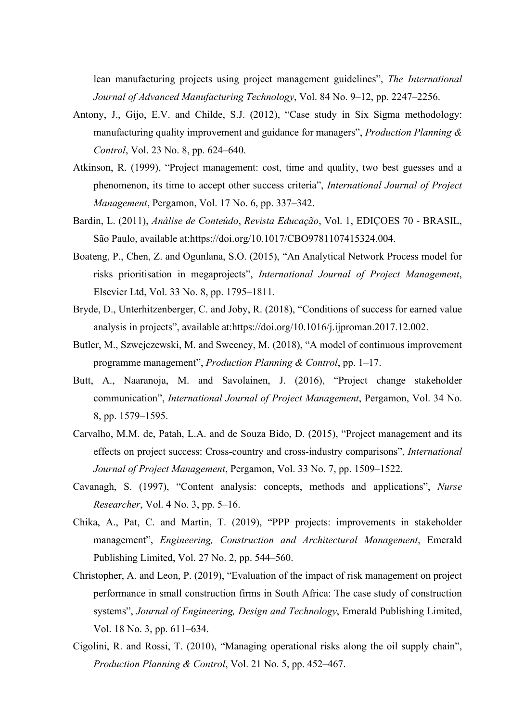lean manufacturing projects using project management guidelines", *The International Journal of Advanced Manufacturing Technology*, Vol. 84 No. 9–12, pp. 2247–2256.

- Antony, J., Gijo, E.V. and Childe, S.J. (2012), "Case study in Six Sigma methodology: manufacturing quality improvement and guidance for managers", *Production Planning & Control*, Vol. 23 No. 8, pp. 624–640.
- Atkinson, R. (1999), "Project management: cost, time and quality, two best guesses and a phenomenon, its time to accept other success criteria", *International Journal of Project Management*, Pergamon, Vol. 17 No. 6, pp. 337–342.
- Bardin, L. (2011), *Análise de Conteúdo*, *Revista Educação*, Vol. 1, EDIÇOES 70 BRASIL, São Paulo, available at:https://doi.org/10.1017/CBO9781107415324.004.
- Boateng, P., Chen, Z. and Ogunlana, S.O. (2015), "An Analytical Network Process model for risks prioritisation in megaprojects", *International Journal of Project Management*, Elsevier Ltd, Vol. 33 No. 8, pp. 1795–1811.
- Bryde, D., Unterhitzenberger, C. and Joby, R. (2018), "Conditions of success for earned value analysis in projects", available at:https://doi.org/10.1016/j.ijproman.2017.12.002.
- Butler, M., Szwejczewski, M. and Sweeney, M. (2018), "A model of continuous improvement programme management", *Production Planning & Control*, pp. 1–17.
- Butt, A., Naaranoja, M. and Savolainen, J. (2016), "Project change stakeholder communication", *International Journal of Project Management*, Pergamon, Vol. 34 No. 8, pp. 1579–1595.
- Carvalho, M.M. de, Patah, L.A. and de Souza Bido, D. (2015), "Project management and its effects on project success: Cross-country and cross-industry comparisons", *International Journal of Project Management*, Pergamon, Vol. 33 No. 7, pp. 1509–1522.
- Cavanagh, S. (1997), "Content analysis: concepts, methods and applications", *Nurse Researcher*, Vol. 4 No. 3, pp. 5–16.
- Chika, A., Pat, C. and Martin, T. (2019), "PPP projects: improvements in stakeholder management", *Engineering, Construction and Architectural Management*, Emerald Publishing Limited, Vol. 27 No. 2, pp. 544–560.
- Christopher, A. and Leon, P. (2019), "Evaluation of the impact of risk management on project performance in small construction firms in South Africa: The case study of construction systems", *Journal of Engineering, Design and Technology*, Emerald Publishing Limited, Vol. 18 No. 3, pp. 611–634.
- Cigolini, R. and Rossi, T. (2010), "Managing operational risks along the oil supply chain", *Production Planning & Control*, Vol. 21 No. 5, pp. 452–467.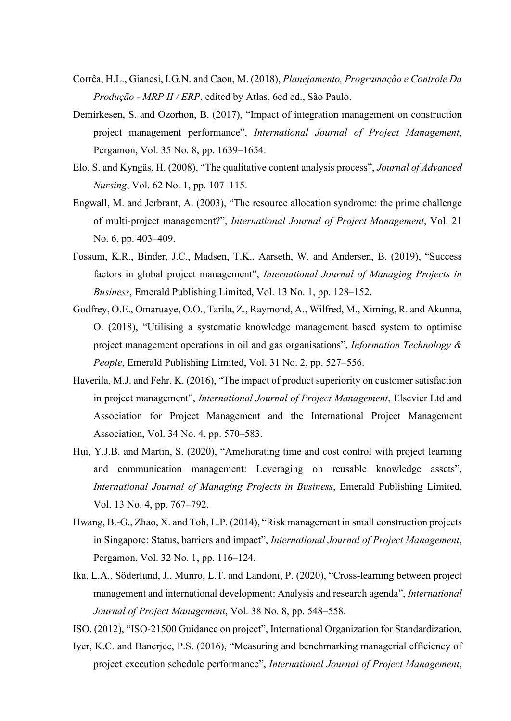- Corrêa, H.L., Gianesi, I.G.N. and Caon, M. (2018), *Planejamento, Programação e Controle Da Produção - MRP II / ERP*, edited by Atlas, 6ed ed., São Paulo.
- Demirkesen, S. and Ozorhon, B. (2017), "Impact of integration management on construction project management performance", *International Journal of Project Management*, Pergamon, Vol. 35 No. 8, pp. 1639–1654.
- Elo, S. and Kyngäs, H. (2008), "The qualitative content analysis process", *Journal of Advanced Nursing*, Vol. 62 No. 1, pp. 107–115.
- Engwall, M. and Jerbrant, A. (2003), "The resource allocation syndrome: the prime challenge of multi-project management?", *International Journal of Project Management*, Vol. 21 No. 6, pp. 403–409.
- Fossum, K.R., Binder, J.C., Madsen, T.K., Aarseth, W. and Andersen, B. (2019), "Success factors in global project management", *International Journal of Managing Projects in Business*, Emerald Publishing Limited, Vol. 13 No. 1, pp. 128–152.
- Godfrey, O.E., Omaruaye, O.O., Tarila, Z., Raymond, A., Wilfred, M., Ximing, R. and Akunna, O. (2018), "Utilising a systematic knowledge management based system to optimise project management operations in oil and gas organisations", *Information Technology & People*, Emerald Publishing Limited, Vol. 31 No. 2, pp. 527–556.
- Haverila, M.J. and Fehr, K. (2016), "The impact of product superiority on customer satisfaction in project management", *International Journal of Project Management*, Elsevier Ltd and Association for Project Management and the International Project Management Association, Vol. 34 No. 4, pp. 570–583.
- Hui, Y.J.B. and Martin, S. (2020), "Ameliorating time and cost control with project learning and communication management: Leveraging on reusable knowledge assets", *International Journal of Managing Projects in Business*, Emerald Publishing Limited, Vol. 13 No. 4, pp. 767–792.
- Hwang, B.-G., Zhao, X. and Toh, L.P. (2014), "Risk management in small construction projects in Singapore: Status, barriers and impact", *International Journal of Project Management*, Pergamon, Vol. 32 No. 1, pp. 116–124.
- Ika, L.A., Söderlund, J., Munro, L.T. and Landoni, P. (2020), "Cross-learning between project management and international development: Analysis and research agenda", *International Journal of Project Management*, Vol. 38 No. 8, pp. 548–558.
- ISO. (2012), "ISO-21500 Guidance on project", International Organization for Standardization.
- Iyer, K.C. and Banerjee, P.S. (2016), "Measuring and benchmarking managerial efficiency of project execution schedule performance", *International Journal of Project Management*,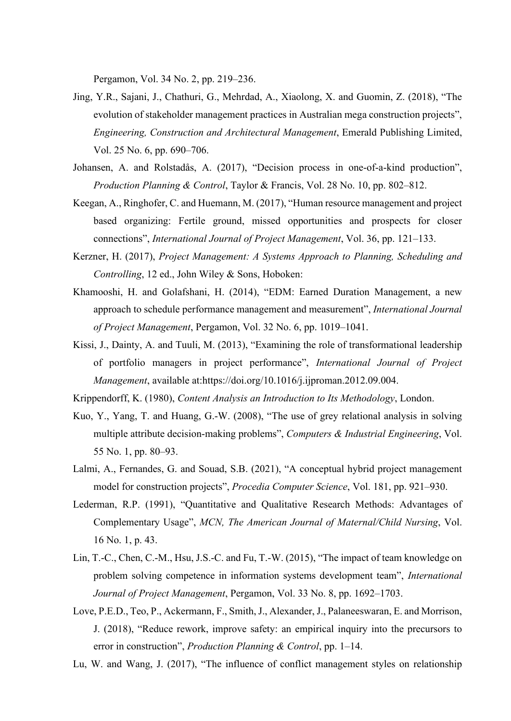Pergamon, Vol. 34 No. 2, pp. 219–236.

- Jing, Y.R., Sajani, J., Chathuri, G., Mehrdad, A., Xiaolong, X. and Guomin, Z. (2018), "The evolution of stakeholder management practices in Australian mega construction projects", *Engineering, Construction and Architectural Management*, Emerald Publishing Limited, Vol. 25 No. 6, pp. 690–706.
- Johansen, A. and Rolstadås, A. (2017), "Decision process in one-of-a-kind production", *Production Planning & Control*, Taylor & Francis, Vol. 28 No. 10, pp. 802–812.
- Keegan, A., Ringhofer, C. and Huemann, M. (2017), "Human resource management and project based organizing: Fertile ground, missed opportunities and prospects for closer connections", *International Journal of Project Management*, Vol. 36, pp. 121–133.
- Kerzner, H. (2017), *Project Management: A Systems Approach to Planning, Scheduling and Controlling*, 12 ed., John Wiley & Sons, Hoboken:
- Khamooshi, H. and Golafshani, H. (2014), "EDM: Earned Duration Management, a new approach to schedule performance management and measurement", *International Journal of Project Management*, Pergamon, Vol. 32 No. 6, pp. 1019–1041.
- Kissi, J., Dainty, A. and Tuuli, M. (2013), "Examining the role of transformational leadership of portfolio managers in project performance", *International Journal of Project Management*, available at:https://doi.org/10.1016/j.ijproman.2012.09.004.

Krippendorff, K. (1980), *Content Analysis an Introduction to Its Methodology*, London.

- Kuo, Y., Yang, T. and Huang, G.-W. (2008), "The use of grey relational analysis in solving multiple attribute decision-making problems", *Computers & Industrial Engineering*, Vol. 55 No. 1, pp. 80–93.
- Lalmi, A., Fernandes, G. and Souad, S.B. (2021), "A conceptual hybrid project management model for construction projects", *Procedia Computer Science*, Vol. 181, pp. 921–930.
- Lederman, R.P. (1991), "Quantitative and Qualitative Research Methods: Advantages of Complementary Usage", *MCN, The American Journal of Maternal/Child Nursing*, Vol. 16 No. 1, p. 43.
- Lin, T.-C., Chen, C.-M., Hsu, J.S.-C. and Fu, T.-W. (2015), "The impact of team knowledge on problem solving competence in information systems development team", *International Journal of Project Management*, Pergamon, Vol. 33 No. 8, pp. 1692–1703.
- Love, P.E.D., Teo, P., Ackermann, F., Smith, J., Alexander, J., Palaneeswaran, E. and Morrison, J. (2018), "Reduce rework, improve safety: an empirical inquiry into the precursors to error in construction", *Production Planning & Control*, pp. 1–14.
- Lu, W. and Wang, J. (2017), "The influence of conflict management styles on relationship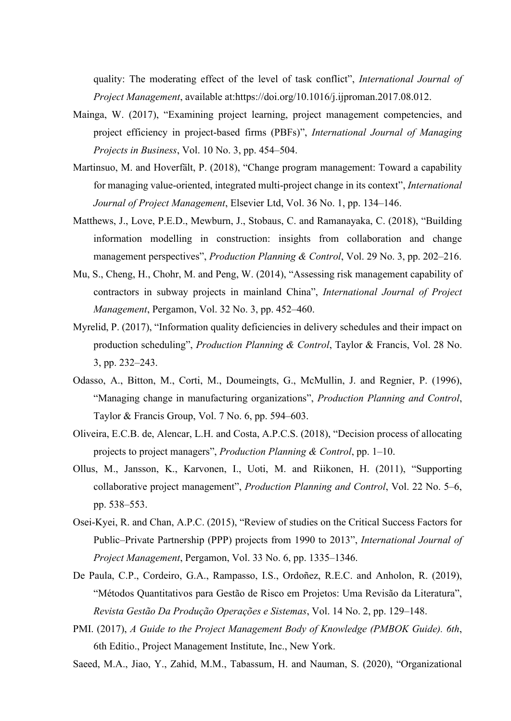quality: The moderating effect of the level of task conflict", *International Journal of Project Management*, available at:https://doi.org/10.1016/j.ijproman.2017.08.012.

- Mainga, W. (2017), "Examining project learning, project management competencies, and project efficiency in project-based firms (PBFs)", *International Journal of Managing Projects in Business*, Vol. 10 No. 3, pp. 454–504.
- Martinsuo, M. and Hoverfält, P. (2018), "Change program management: Toward a capability for managing value-oriented, integrated multi-project change in its context", *International Journal of Project Management*, Elsevier Ltd, Vol. 36 No. 1, pp. 134–146.
- Matthews, J., Love, P.E.D., Mewburn, J., Stobaus, C. and Ramanayaka, C. (2018), "Building information modelling in construction: insights from collaboration and change management perspectives", *Production Planning & Control*, Vol. 29 No. 3, pp. 202–216.
- Mu, S., Cheng, H., Chohr, M. and Peng, W. (2014), "Assessing risk management capability of contractors in subway projects in mainland China", *International Journal of Project Management*, Pergamon, Vol. 32 No. 3, pp. 452–460.
- Myrelid, P. (2017), "Information quality deficiencies in delivery schedules and their impact on production scheduling", *Production Planning & Control*, Taylor & Francis, Vol. 28 No. 3, pp. 232–243.
- Odasso, A., Bitton, M., Corti, M., Doumeingts, G., McMullin, J. and Regnier, P. (1996), "Managing change in manufacturing organizations", *Production Planning and Control*, Taylor & Francis Group, Vol. 7 No. 6, pp. 594–603.
- Oliveira, E.C.B. de, Alencar, L.H. and Costa, A.P.C.S. (2018), "Decision process of allocating projects to project managers", *Production Planning & Control*, pp. 1–10.
- Ollus, M., Jansson, K., Karvonen, I., Uoti, M. and Riikonen, H. (2011), "Supporting collaborative project management", *Production Planning and Control*, Vol. 22 No. 5–6, pp. 538–553.
- Osei-Kyei, R. and Chan, A.P.C. (2015), "Review of studies on the Critical Success Factors for Public–Private Partnership (PPP) projects from 1990 to 2013", *International Journal of Project Management*, Pergamon, Vol. 33 No. 6, pp. 1335–1346.
- De Paula, C.P., Cordeiro, G.A., Rampasso, I.S., Ordoñez, R.E.C. and Anholon, R. (2019), "Métodos Quantitativos para Gestão de Risco em Projetos: Uma Revisão da Literatura", *Revista Gestão Da Produção Operações e Sistemas*, Vol. 14 No. 2, pp. 129–148.
- PMI. (2017), *A Guide to the Project Management Body of Knowledge (PMBOK Guide). 6th*, 6th Editio., Project Management Institute, Inc., New York.
- Saeed, M.A., Jiao, Y., Zahid, M.M., Tabassum, H. and Nauman, S. (2020), "Organizational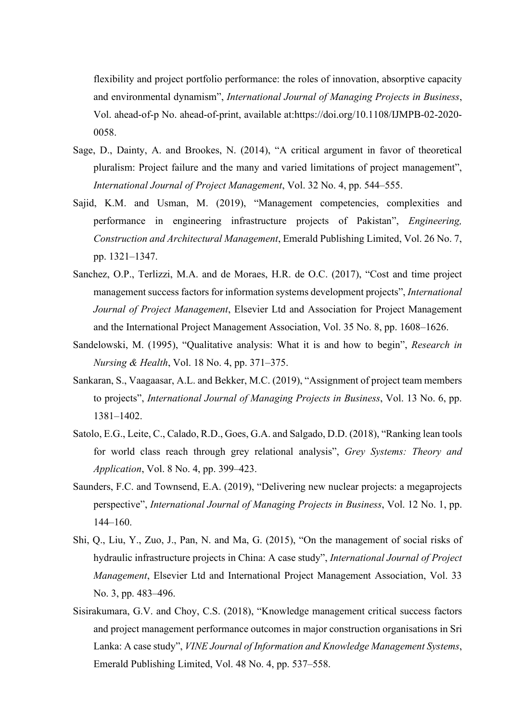flexibility and project portfolio performance: the roles of innovation, absorptive capacity and environmental dynamism", *International Journal of Managing Projects in Business*, Vol. ahead-of-p No. ahead-of-print, available at:https://doi.org/10.1108/IJMPB-02-2020- 0058.

- Sage, D., Dainty, A. and Brookes, N. (2014), "A critical argument in favor of theoretical pluralism: Project failure and the many and varied limitations of project management", *International Journal of Project Management*, Vol. 32 No. 4, pp. 544–555.
- Sajid, K.M. and Usman, M. (2019), "Management competencies, complexities and performance in engineering infrastructure projects of Pakistan", *Engineering, Construction and Architectural Management*, Emerald Publishing Limited, Vol. 26 No. 7, pp. 1321–1347.
- Sanchez, O.P., Terlizzi, M.A. and de Moraes, H.R. de O.C. (2017), "Cost and time project management success factors for information systems development projects", *International Journal of Project Management*, Elsevier Ltd and Association for Project Management and the International Project Management Association, Vol. 35 No. 8, pp. 1608–1626.
- Sandelowski, M. (1995), "Qualitative analysis: What it is and how to begin", *Research in Nursing & Health*, Vol. 18 No. 4, pp. 371–375.
- Sankaran, S., Vaagaasar, A.L. and Bekker, M.C. (2019), "Assignment of project team members to projects", *International Journal of Managing Projects in Business*, Vol. 13 No. 6, pp. 1381–1402.
- Satolo, E.G., Leite, C., Calado, R.D., Goes, G.A. and Salgado, D.D. (2018), "Ranking lean tools for world class reach through grey relational analysis", *Grey Systems: Theory and Application*, Vol. 8 No. 4, pp. 399–423.
- Saunders, F.C. and Townsend, E.A. (2019), "Delivering new nuclear projects: a megaprojects perspective", *International Journal of Managing Projects in Business*, Vol. 12 No. 1, pp. 144–160.
- Shi, Q., Liu, Y., Zuo, J., Pan, N. and Ma, G. (2015), "On the management of social risks of hydraulic infrastructure projects in China: A case study", *International Journal of Project Management*, Elsevier Ltd and International Project Management Association, Vol. 33 No. 3, pp. 483–496.
- Sisirakumara, G.V. and Choy, C.S. (2018), "Knowledge management critical success factors and project management performance outcomes in major construction organisations in Sri Lanka: A case study", *VINE Journal of Information and Knowledge Management Systems*, Emerald Publishing Limited, Vol. 48 No. 4, pp. 537–558.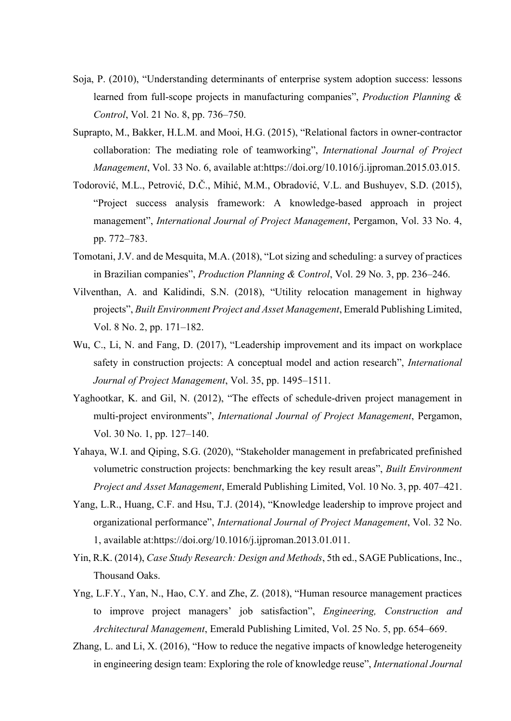- Soja, P. (2010), "Understanding determinants of enterprise system adoption success: lessons learned from full-scope projects in manufacturing companies", *Production Planning & Control*, Vol. 21 No. 8, pp. 736–750.
- Suprapto, M., Bakker, H.L.M. and Mooi, H.G. (2015), "Relational factors in owner-contractor collaboration: The mediating role of teamworking", *International Journal of Project Management*, Vol. 33 No. 6, available at:https://doi.org/10.1016/j.ijproman.2015.03.015.
- Todorović, M.L., Petrović, D.Č., Mihić, M.M., Obradović, V.L. and Bushuyev, S.D. (2015), "Project success analysis framework: A knowledge-based approach in project management", *International Journal of Project Management*, Pergamon, Vol. 33 No. 4, pp. 772–783.
- Tomotani, J.V. and de Mesquita, M.A. (2018), "Lot sizing and scheduling: a survey of practices in Brazilian companies", *Production Planning & Control*, Vol. 29 No. 3, pp. 236–246.
- Vilventhan, A. and Kalidindi, S.N. (2018), "Utility relocation management in highway projects", *Built Environment Project and Asset Management*, Emerald Publishing Limited, Vol. 8 No. 2, pp. 171–182.
- Wu, C., Li, N. and Fang, D. (2017), "Leadership improvement and its impact on workplace safety in construction projects: A conceptual model and action research", *International Journal of Project Management*, Vol. 35, pp. 1495–1511.
- Yaghootkar, K. and Gil, N. (2012), "The effects of schedule-driven project management in multi-project environments", *International Journal of Project Management*, Pergamon, Vol. 30 No. 1, pp. 127–140.
- Yahaya, W.I. and Qiping, S.G. (2020), "Stakeholder management in prefabricated prefinished volumetric construction projects: benchmarking the key result areas", *Built Environment Project and Asset Management*, Emerald Publishing Limited, Vol. 10 No. 3, pp. 407–421.
- Yang, L.R., Huang, C.F. and Hsu, T.J. (2014), "Knowledge leadership to improve project and organizational performance", *International Journal of Project Management*, Vol. 32 No. 1, available at:https://doi.org/10.1016/j.ijproman.2013.01.011.
- Yin, R.K. (2014), *Case Study Research: Design and Methods*, 5th ed., SAGE Publications, Inc., Thousand Oaks.
- Yng, L.F.Y., Yan, N., Hao, C.Y. and Zhe, Z. (2018), "Human resource management practices to improve project managers' job satisfaction", *Engineering, Construction and Architectural Management*, Emerald Publishing Limited, Vol. 25 No. 5, pp. 654–669.
- Zhang, L. and Li, X. (2016), "How to reduce the negative impacts of knowledge heterogeneity in engineering design team: Exploring the role of knowledge reuse", *International Journal*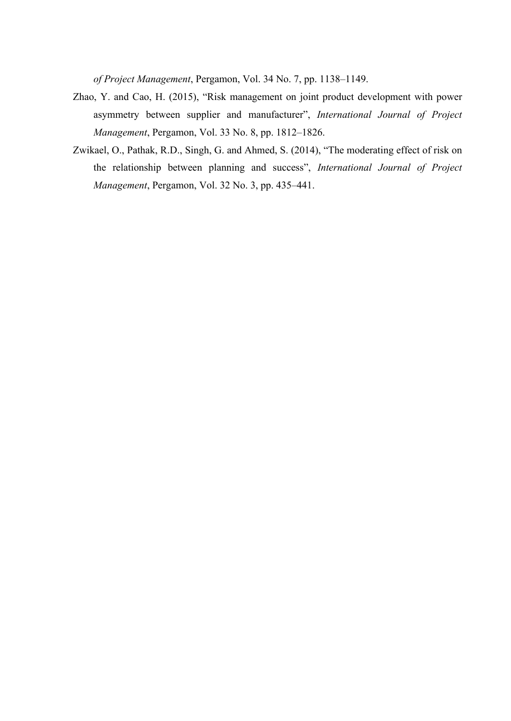*of Project Management*, Pergamon, Vol. 34 No. 7, pp. 1138–1149.

- Zhao, Y. and Cao, H. (2015), "Risk management on joint product development with power asymmetry between supplier and manufacturer", *International Journal of Project Management*, Pergamon, Vol. 33 No. 8, pp. 1812–1826.
- Zwikael, O., Pathak, R.D., Singh, G. and Ahmed, S. (2014), "The moderating effect of risk on the relationship between planning and success", *International Journal of Project Management*, Pergamon, Vol. 32 No. 3, pp. 435–441.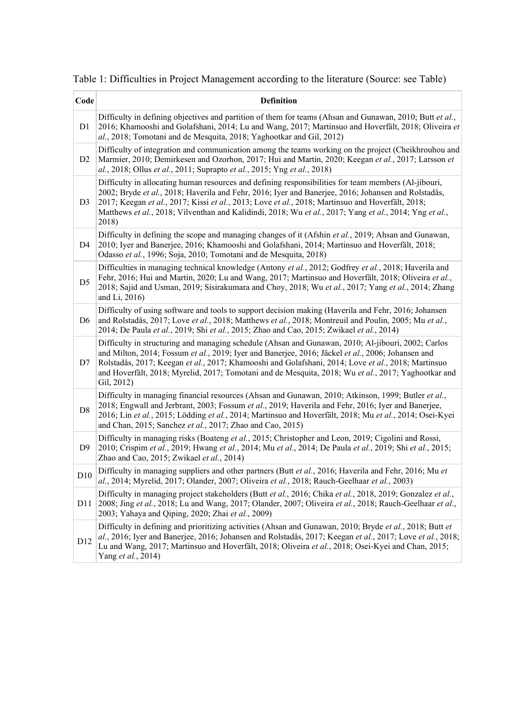Table 1: Difficulties in Project Management according to the literature (Source: see Table)

| Code            | <b>Definition</b>                                                                                                                                                                                                                                                                                                                                                                                                                  |
|-----------------|------------------------------------------------------------------------------------------------------------------------------------------------------------------------------------------------------------------------------------------------------------------------------------------------------------------------------------------------------------------------------------------------------------------------------------|
| D1              | Difficulty in defining objectives and partition of them for teams (Ahsan and Gunawan, 2010; Butt et al.,<br>2016; Khamooshi and Golafshani, 2014; Lu and Wang, 2017; Martinsuo and Hoverfält, 2018; Oliveira et<br>al., 2018; Tomotani and de Mesquita, 2018; Yaghootkar and Gil, 2012)                                                                                                                                            |
| D <sub>2</sub>  | Difficulty of integration and communication among the teams working on the project (Cheikhrouhou and<br>Marmier, 2010; Demirkesen and Ozorhon, 2017; Hui and Martin, 2020; Keegan et al., 2017; Larsson et<br>al., 2018; Ollus et al., 2011; Suprapto et al., 2015; Yng et al., 2018)                                                                                                                                              |
| D <sub>3</sub>  | Difficulty in allocating human resources and defining responsibilities for team members (Al-jibouri,<br>2002; Bryde et al., 2018; Haverila and Fehr, 2016; Iyer and Banerjee, 2016; Johansen and Rolstadås,<br>2017; Keegan et al., 2017; Kissi et al., 2013; Love et al., 2018; Martinsuo and Hoverfält, 2018;<br>Matthews et al., 2018; Vilventhan and Kalidindi, 2018; Wu et al., 2017; Yang et al., 2014; Yng et al.,<br>2018) |
| D <sub>4</sub>  | Difficulty in defining the scope and managing changes of it (Afshin et al., 2019; Ahsan and Gunawan,<br>2010; Iyer and Banerjee, 2016; Khamooshi and Golafshani, 2014; Martinsuo and Hoverfält, 2018;<br>Odasso et al., 1996; Soja, 2010; Tomotani and de Mesquita, 2018)                                                                                                                                                          |
| D <sub>5</sub>  | Difficulties in managing technical knowledge (Antony et al., 2012; Godfrey et al., 2018; Haverila and<br>Fehr, 2016; Hui and Martin, 2020; Lu and Wang, 2017; Martinsuo and Hoverfält, 2018; Oliveira et al.,<br>2018; Sajid and Usman, 2019; Sisirakumara and Choy, 2018; Wu et al., 2017; Yang et al., 2014; Zhang<br>and Li, 2016)                                                                                              |
| D <sub>6</sub>  | Difficulty of using software and tools to support decision making (Haverila and Fehr, 2016; Johansen<br>and Rolstadås, 2017; Love et al., 2018; Matthews et al., 2018; Montreuil and Poulin, 2005; Mu et al.,<br>2014; De Paula et al., 2019; Shi et al., 2015; Zhao and Cao, 2015; Zwikael et al., 2014)                                                                                                                          |
| D7              | Difficulty in structuring and managing schedule (Ahsan and Gunawan, 2010; Al-jibouri, 2002; Carlos<br>and Milton, 2014; Fossum et al., 2019; Iyer and Banerjee, 2016; Jäckel et al., 2006; Johansen and<br>Rolstadås, 2017; Keegan et al., 2017; Khamooshi and Golafshani, 2014; Love et al., 2018; Martinsuo<br>and Hoverfält, 2018; Myrelid, 2017; Tomotani and de Mesquita, 2018; Wu et al., 2017; Yaghootkar and<br>Gil, 2012) |
| $\mathbf{D}8$   | Difficulty in managing financial resources (Ahsan and Gunawan, 2010; Atkinson, 1999; Butler et al.,<br>2018; Engwall and Jerbrant, 2003; Fossum et al., 2019; Haverila and Fehr, 2016; Iyer and Banerjee,<br>2016; Lin et al., 2015; Lödding et al., 2014; Martinsuo and Hoverfält, 2018; Mu et al., 2014; Osei-Kyei<br>and Chan, 2015; Sanchez et al., 2017; Zhao and Cao, 2015)                                                  |
| D <sub>9</sub>  | Difficulty in managing risks (Boateng et al., 2015; Christopher and Leon, 2019; Cigolini and Rossi,<br>2010; Crispim et al., 2019; Hwang et al., 2014; Mu et al., 2014; De Paula et al., 2019; Shi et al., 2015;<br>Zhao and Cao, 2015; Zwikael et al., 2014)                                                                                                                                                                      |
| D10             | Difficulty in managing suppliers and other partners (Butt et al., 2016; Haverila and Fehr, 2016; Mu et<br>al., 2014; Myrelid, 2017; Olander, 2007; Oliveira et al., 2018; Rauch-Geelhaar et al., 2003)                                                                                                                                                                                                                             |
| D <sub>11</sub> | Difficulty in managing project stakeholders (Butt et al., 2016; Chika et al., 2018, 2019; Gonzalez et al.,<br>2008; Jing et al., 2018; Lu and Wang, 2017; Olander, 2007; Oliveira et al., 2018; Rauch-Geelhaar et al.,<br>2003; Yahaya and Qiping, 2020; Zhai et al., 2009)                                                                                                                                                        |
| D12             | Difficulty in defining and prioritizing activities (Ahsan and Gunawan, 2010; Bryde et al., 2018; Butt et<br>al., 2016; Iyer and Banerjee, 2016; Johansen and Rolstadås, 2017; Keegan et al., 2017; Love et al., 2018;<br>Lu and Wang, 2017; Martinsuo and Hoverfält, 2018; Oliveira et al., 2018; Osei-Kyei and Chan, 2015;<br>Yang et al., 2014)                                                                                  |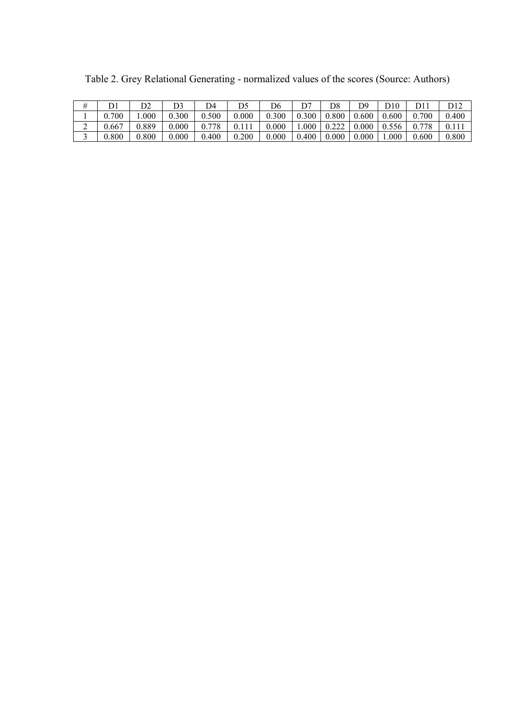|           | n^      |       | D4    | D5    | D6    |       | D8             | D9    | D10   | ור $\Gamma$ | D12   |
|-----------|---------|-------|-------|-------|-------|-------|----------------|-------|-------|-------------|-------|
| 700       | $000$ . | 0.300 | 0.500 | 0.000 | 0.300 | 0.300 | 0.800          | 0.600 | 0.600 | 0.700       | 0.400 |
| 0.667     | 0.889   | 0.000 | 0.778 | 0.111 | 0.000 | .000. | 0.222<br>0.444 | 0.000 | 0.556 | 0.778       | 0.111 |
| $0.800\,$ | 0.800   | 0.000 | 0.400 | 0.200 | 0.000 | 0.400 | 0.000          | 0.000 | 000.1 | 0.600       | 0.800 |

Table 2. Grey Relational Generating - normalized values of the scores (Source: Authors)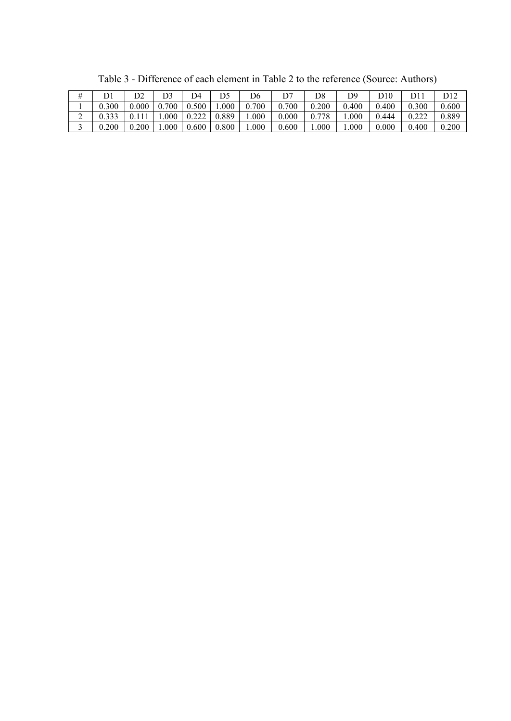|           | n٨    |       | D4    |       | D6      |       | D8    | ר ר   | 10    | D11   | D12   |
|-----------|-------|-------|-------|-------|---------|-------|-------|-------|-------|-------|-------|
| 0.300     | 0.000 | 0.700 | 0.500 | 1.000 | 0.700   | .700  | 0.200 | 0.400 | 0.400 | 0.300 | 0.600 |
| 0.333     |       | .000  | 0.222 | 0.889 | $000$ . | 0.000 | 0.778 | .000  | 0.444 | 0.222 | 0.889 |
| $0.200\,$ | 0.200 | 000   | 0.600 | 0.800 | 1.000   | 0.600 | .000  | .000  | 0.000 | 0.400 | 0.200 |

Table 3 - Difference of each element in Table 2 to the reference (Source: Authors)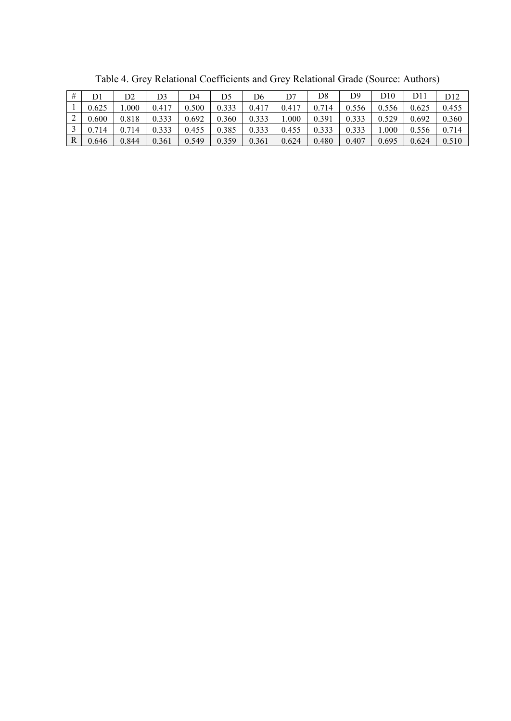| #            | D1    | D2    | D3    | D4    | D5    | D6    | D7    | D8    | D9    | D10     | ור $\Gamma$ | D <sub>12</sub> |
|--------------|-------|-------|-------|-------|-------|-------|-------|-------|-------|---------|-------------|-----------------|
|              | 0.625 | .000  | 0.417 | 0.500 | 0.333 | 0.417 | 0.417 | 0.714 | 0.556 | 0.556   | 0.625       | 0.455           |
| ∸            | 0.600 | 0.818 | 0.333 | 0.692 | 0.360 | 0.333 | .000  | 0.391 | 0.333 | 0.529   | 0.692       | 0.360           |
|              | 0.714 | 714   | 0.333 | 0.455 | 0.385 | 0.333 | 0.455 | 0.333 | 0.333 | $000$ . | 0.556       | 0.714           |
| $\mathbb{R}$ | 0.646 | 0.844 | 0.361 | 0.549 | 0.359 | 0.361 | 0.624 | 0.480 | 0.407 | 0.695   | 0.624       | 0.510           |

Table 4. Grey Relational Coefficients and Grey Relational Grade (Source: Authors)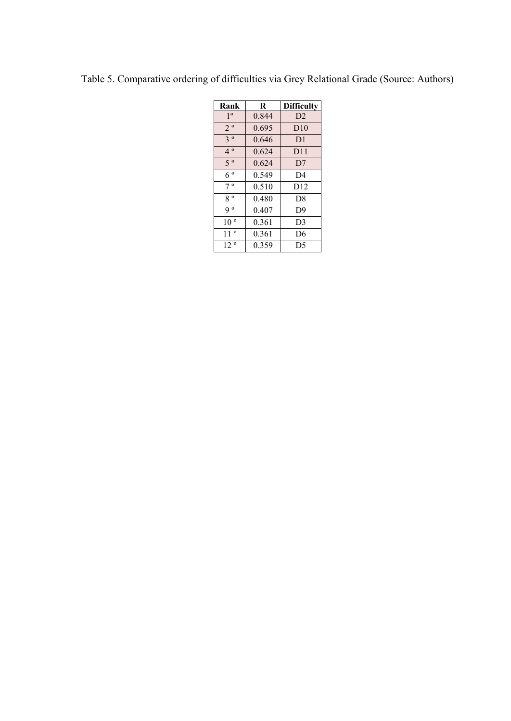| Rank            | R     | <b>Difficulty</b> |
|-----------------|-------|-------------------|
| 1 <sup>0</sup>  | 0.844 | D2                |
| $2^{\circ}$     | 0.695 | D10               |
| $3^{\circ}$     | 0.646 | D <sub>1</sub>    |
| $4^{\circ}$     | 0.624 | D11               |
| $5^{\circ}$     | 0.624 | D <sub>7</sub>    |
| $6^{\circ}$     | 0.549 | D4                |
| $7^{\circ}$     | 0.510 | D12               |
| $8^{\circ}$     | 0.480 | D <sup>8</sup>    |
| q o             | 0.407 | D <sup>9</sup>    |
| 10 <sup>o</sup> | 0.361 | D <sub>3</sub>    |
| $11^{\circ}$    | 0.361 | D6                |
| 12 <sup>o</sup> | 0.359 | D5                |

Table 5. Comparative ordering of difficulties via Grey Relational Grade (Source: Authors)